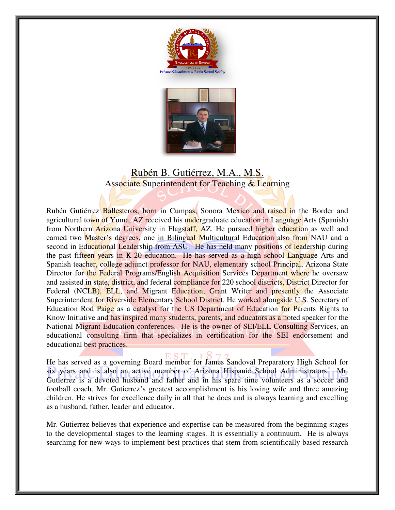



## Rubén B. Gutiérrez, M.A., M.S. Associate Superintendent for Teaching & Learning

Rubén Gutiérrez Ballesteros, born in Cumpas, Sonora Mexico and raised in the Border and agricultural town of Yuma, AZ received his undergraduate education in Language Arts (Spanish) from Northern Arizona University in Flagstaff, AZ. He pursued higher education as well and earned two Master's degrees, one in Bilingual Multicultural Education also from NAU and a second in Educational Leadership from ASU. He has held many positions of leadership during the past fifteen years in K-20 education. He has served as a high school Language Arts and Spanish teacher, college adjunct professor for NAU, elementary school Principal, Arizona State Director for the Federal Programs/English Acquisition Services Department where he oversaw and assisted in state, district, and federal compliance for 220 school districts, District Director for Federal (NCLB), ELL, and Migrant Education, Grant Writer and presently the Associate Superintendent for Riverside Elementary School District. He worked alongside U.S. Secretary of Education Rod Paige as a catalyst for the US Department of Education for Parents Rights to Know Initiative and has inspired many students, parents, and educators as a noted speaker for the National Migrant Education conferences. He is the owner of SEI/ELL Consulting Services, an educational consulting firm that specializes in certification for the SEI endorsement and educational best practices. Gutiérrez Ballesteros, born in Cumpas, Sonora Mexico and raised in the Border and<br>ural town of Yuma, AZ received his undergraduate education in Language Arts (Spanish)<br>orthern Arizona University in Flagstaff, AZ. He pursue eral Programs/English Acquisition Services Department where he oversaw<br>district, and federal compliance for 220 school districts, District Director for<br>LL, and Migrant Education, Grant Writer and presently the Associate expectively a unitary School District. He worked alongside U.S. Secretary of cation Rod Paige as a catalyst for the US Department of Education for Parents Rights to w Initiative and has inspired many students, parents, and re adjunct professor for NAU, elementary school Principal, Arizona State<br>al Programs/English Acquisition Services Department where he oversaw<br>strict, and federal compliance for 220 school districts, District Director for<br>a

He has served as a governing Board member for James Sandoval Preparatory High School for six years and is also an active member of Arizona Hispanic School Administrators. Mr. Gutierrez is a devoted husband and father and in his spare time volunteers as a soccer and football coach. Mr. Gutierrez's greatest accomplishment is his loving wife and three amazing children. He strives for excellence daily in all that he does and is always learning and excelling as a husband, father, leader and educator. and in his spare time volunteers<br>omplishment is his loving wife an<br>ll that he does and is always learni<br>xpertise can be measured from the<br>stages. It is essentially a continuur<br>ractices that stem from scientificall

Mr. Gutierrez believes that experience and expertise can be measured from the beginning stages to the developmental stages to the learning stages. It is essentially a continuum. He is always searching for new ways to implement best practices that stem from scientifically based research ball coach. Mr. Gutierrez's greatest accomplishment is his loving wife and three amazing<br>then. He strives for excellence daily in all that he does and is always learning and excelling<br>husband, father, leader and educator.<br>